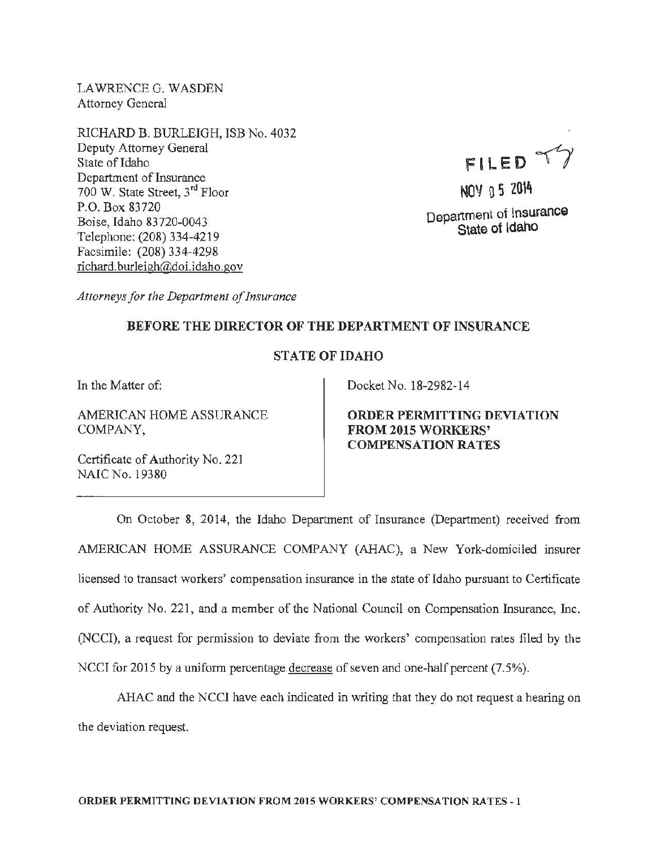LAWRENCEG. WASDEN Attorney General

RICHARD B. BURLEIGH, ISB No. 4032 Deputy Attorney General State of Idaho Department of Insurance 700 W. State Street, 3rd Floor P.O. Box 83720 Boise, Idaho 83720-0043 Telephone: (208) 334-4219 Facsimile: (208) 334-4298 richard.burleigh@doi.idaho.gov

FILED TY

NOY 0 5 2014 Department of Insurance State of Idaho

*Attorneys for the Department of Insurance* 

## BEFORE THE DIRECTOR OF THE DEPARTMENT OF INSURANCE

## STATE OF IDAHO

In the Matter of:

AMERICAN HOME ASSURANCE COMPANY,

Certificate of Authority No. 221 NAIC No. 19380

Docket No. 18-2982-14

ORDER PERMITTING DEVIATION FROM 2015 WORKERS' COMPENSATION RATES

On October 8, 2014, the Idaho Depanttnent of Insurance (Department) received from AMERICAN HOME ASSURANCE COMPANY (AHAC), a New York-domiciled insurer licensed to transact workers' compensation insurance in the state of Idaho pursuant to Certificate of Authority No. 221, and a member of the National Council on Compensation Insurance, Inc. (NCCI), a request for permission to deviate from the workers' compensation rates filed by the NCCI for 2015 by a uniform percentage decrease of seven and one-half percent (7.5%).

AHAC and the NCCI have each indicated in writing that they do not request a hearing on the deviation request.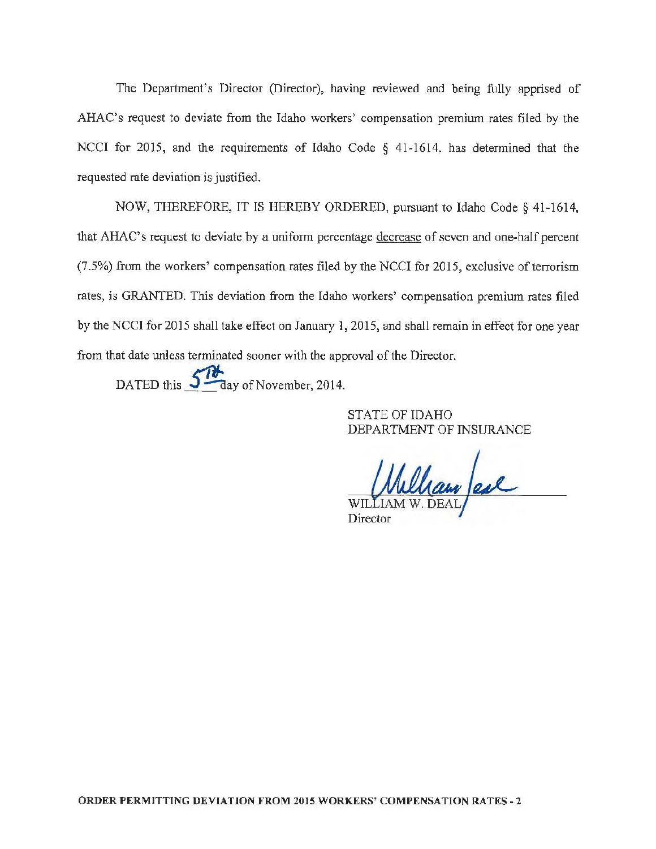The Department's Director (Director), having reviewed and being fully apprised of AHAC's request to deviate from the Idaho workers' compensation premium rates filed by the NCCI for 2015, and the requirements of Idaho Code § 41-1614, has determined that the requested rate deviation is justified.

NOW, THEREFORE, IT IS HEREBY ORDERED, pursuant to Idaho Code§ 41~1614, that AHAC's request to deviate by a uniform percentage decrease of seven and one-half percent  $(7.5%)$  from the workers' compensation rates filed by the NCCI for 2015, exclusive of terrorism rates, is GRANTED. This deviation from the Idaho workers' compensation premium rates filed by the NCCI for 2015 shall take effect on January 1, 2015, and shall remain in effect for one year from that date unless terminated sooner with the approval of the Director.

DATED this  $\frac{5}{\sqrt{}}$  day of November, 2014.

STATE OF IDAHO DEPARTMENT OF INSURANCE

William Jeal Director